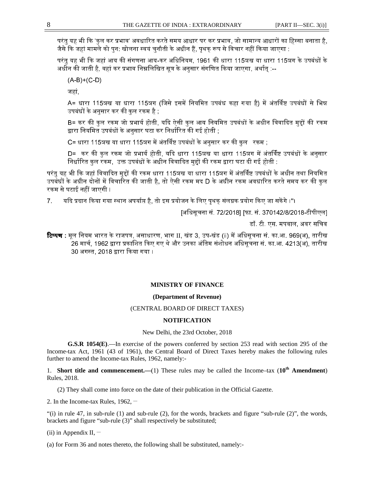परंत यह भी कि 'कल कर प्रभाव' अवधारित करते समय आधार पर कर प्रभाव, जो सामान्य आधारों का हिस्सा बनाता है. जैसे कि जहां मामले को पन: खोलना स्वयं चनौती के अधीन हैं. पथक रूप से विचार नहीं किया जाएगा :

परंत यह भी कि जहां आय की संगणना आय-कर अधिनियम, 1961 की धारा 115ञख या धारा 115ञग के उपबंधों के अधीन की जाती है. वहां कर प्रभाव निम्नलिखित सत्र के अनसार संगणित किया जाएगा. अर्थात :--

 $(A-B)+(C-D)$ 

जहां,

A= धारा 115ञख या धारा 115ञग (जिसे इसमें नियमित उपबंध कहा गया है) में अंतर्विष्ट उपबंधों से भिन्न उपबंधों के अनसार कर की कल रकम है :-

B= कर की कल रकम जो प्रभार्य होती. यदि ऐसी कल आय नियमित उपबंधों के अधीन विवादित महों की रकम द्वारा नियमित उपबंधों के अनसार घटा कर निर्धारित की गई होती :-

C= धारा 115ञख या धारा 115ञग में अंतर्विष्ट उपबंधों के अनसार कर की कल रकम :

D= कर की कल रकम जो प्रभार्य होती. यदि धारा 115ञख या धारा 115ञग में अंतर्विष्ट उपबंधों के अनसार निर्धारित कल रकम, उक्त उपबंधों के अधीन विवादित महों की रकम द्वारा घटा दी गई होती :

परंत यह भी कि जहां विवादित महों की रकम धारा 115ञख या धारा 115ञग में अंतर्विष्ट उपबंधों के अधीन तथा नियमित उपबंधों के अधीन दोनों में विचारित की जाती है. तो ऐसी रकम मद D के अधीन रकम अवधारित करते समय कर की कल रकम से घटाई नहीं जाएगी ।

7. यदि प्रदान किया गया स्थान अपर्याप्त है. तो इस प्रयोजन के लिए पथक संलग्नक प्रयोग किए जा सकेंगे ।"।

[अिधसूचना सं. 72/2018] [फा. सं. 370142/8/2018-टीपीएल]

डॉ. टी. एस. मपवाल, अवर सिचव

**टिप्पण :** मूल नियम भारत के राजपत्र, असाधारण, भाग II, खंड 3, उप-खंड (ii) में अधिसूचना सं. का.आ. 969(अ), तारीख .<br>26 मार्च, 1962 द्वारा प्रकाशित किए गए थे और उनका अंतिम संशोधन अधिसूचना सं. का.आ. 4213(अ), तारीख 30 अगस्त, 2018 द्वारा किया गया ।

# **MINISTRY OF FINANCE**

## **(Department of Revenue)**

#### (CENTRAL BOARD OF DIRECT TAXES)

#### **NOTIFICATION**

New Delhi, the 23rd October, 2018

**G.S.R 1054(E)**.—In exercise of the powers conferred by section 253 read with section 295 of the Income-tax Act, 1961 (43 of 1961), the Central Board of Direct Taxes hereby makes the following rules further to amend the Income-tax Rules, 1962, namely:-

1. **Short title and commencement.—**(1) These rules may be called the Income–tax (**10th Amendment**) Rules, 2018.

(2) They shall come into force on the date of their publication in the Official Gazette.

2. In the Income-tax Rules,  $1962$ ,  $-$ 

"(i) in rule 47, in sub-rule (1) and sub-rule (2), for the words, brackets and figure "sub-rule  $(2)$ ", the words, brackets and figure "sub-rule (3)" shall respectively be substituted;

(ii) in Appendix II,  $-$ 

(a) for Form 36 and notes thereto, the following shall be substituted, namely:-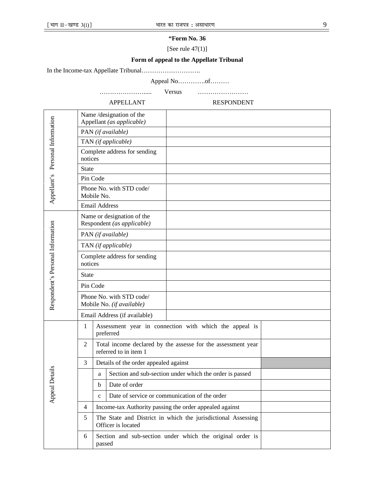# **"Form No. 36**

[See rule 47(1)]

# **Form of appeal to the Appellate Tribunal**

In the Income-tax Appellate Tribunal……………………….

Appeal No………….of………

…………………..... Versus ……………………

APPELLANT RESPONDENT

| Appellant's Personal Information  | Name/designation of the<br>Appellant (as applicable)     |                                                                                       |                     |  |  |
|-----------------------------------|----------------------------------------------------------|---------------------------------------------------------------------------------------|---------------------|--|--|
|                                   | PAN (if available)                                       |                                                                                       |                     |  |  |
|                                   | TAN (if applicable)                                      |                                                                                       |                     |  |  |
|                                   | Complete address for sending<br>notices                  |                                                                                       |                     |  |  |
|                                   | <b>State</b>                                             |                                                                                       |                     |  |  |
|                                   | Pin Code                                                 |                                                                                       |                     |  |  |
|                                   | Phone No. with STD code/<br>Mobile No.                   |                                                                                       |                     |  |  |
|                                   | <b>Email Address</b>                                     |                                                                                       |                     |  |  |
|                                   | Name or designation of the<br>Respondent (as applicable) |                                                                                       |                     |  |  |
|                                   |                                                          |                                                                                       | PAN (if available)  |  |  |
|                                   |                                                          |                                                                                       | TAN (if applicable) |  |  |
| Respondent's Personal Information | Complete address for sending<br>notices                  |                                                                                       |                     |  |  |
|                                   | <b>State</b>                                             |                                                                                       |                     |  |  |
|                                   | Pin Code                                                 |                                                                                       |                     |  |  |
|                                   | Phone No. with STD code/<br>Mobile No. (if available)    |                                                                                       |                     |  |  |
|                                   | Email Address (if available)                             |                                                                                       |                     |  |  |
| Details<br>Appeal                 | $\mathbf{1}$                                             | Assessment year in connection with which the appeal is<br>preferred                   |                     |  |  |
|                                   | $\overline{c}$                                           | Total income declared by the assesse for the assessment year<br>referred to in item 1 |                     |  |  |
|                                   | 3                                                        | Details of the order appealed against                                                 |                     |  |  |
|                                   |                                                          | Section and sub-section under which the order is passed<br>a                          |                     |  |  |
|                                   |                                                          | $\mathbf b$                                                                           | Date of order       |  |  |
|                                   |                                                          | Date of service or communication of the order<br>$\mathbf c$                          |                     |  |  |
|                                   | 4                                                        | Income-tax Authority passing the order appealed against                               |                     |  |  |
|                                   | 5                                                        | The State and District in which the jurisdictional Assessing<br>Officer is located    |                     |  |  |
|                                   | 6                                                        | Section and sub-section under which the original order is<br>passed                   |                     |  |  |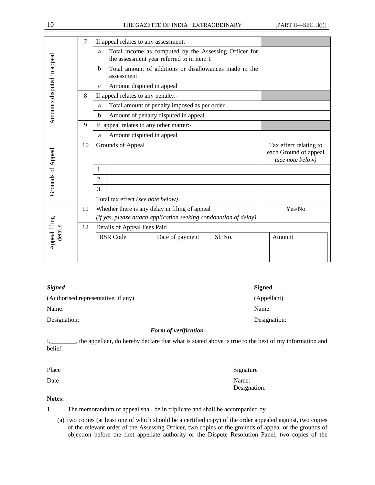|                            | 7  | If appeal relates to any assessment: -                                                                             |                                                                                                    |                                                        |         |                                                                     |
|----------------------------|----|--------------------------------------------------------------------------------------------------------------------|----------------------------------------------------------------------------------------------------|--------------------------------------------------------|---------|---------------------------------------------------------------------|
| Amounts disputed in appeal |    | a                                                                                                                  | Total income as computed by the Assessing Officer for<br>the assessment year referred to in item 1 |                                                        |         |                                                                     |
|                            |    | $\mathbf b$                                                                                                        | assessment                                                                                         | Total amount of additions or disallowances made in the |         |                                                                     |
|                            |    | $\mathbf{c}$                                                                                                       | Amount disputed in appeal                                                                          |                                                        |         |                                                                     |
|                            | 8  |                                                                                                                    | If appeal relates to any penalty:-                                                                 |                                                        |         |                                                                     |
|                            |    | Total amount of penalty imposed as per order<br>a                                                                  |                                                                                                    |                                                        |         |                                                                     |
|                            |    | b                                                                                                                  | Amount of penalty disputed in appeal                                                               |                                                        |         |                                                                     |
|                            | 9  | If appeal relates to any other matter:-                                                                            |                                                                                                    |                                                        |         |                                                                     |
|                            |    | a                                                                                                                  | Amount disputed in appeal                                                                          |                                                        |         |                                                                     |
| Grounds of Appeal          | 10 |                                                                                                                    | Grounds of Appeal                                                                                  |                                                        |         | Tax effect relating to<br>each Ground of appeal<br>(see note below) |
|                            |    | 1.                                                                                                                 |                                                                                                    |                                                        |         |                                                                     |
|                            |    | 2.                                                                                                                 |                                                                                                    |                                                        |         |                                                                     |
|                            |    | 3.                                                                                                                 |                                                                                                    |                                                        |         |                                                                     |
|                            |    |                                                                                                                    | Total tax effect (see note below)                                                                  |                                                        |         |                                                                     |
| Appeal filing<br>details   | 11 | Whether there is any delay in filing of appeal<br>(if yes, please attach application seeking condonation of delay) |                                                                                                    |                                                        |         | Yes/No                                                              |
|                            | 12 |                                                                                                                    | Details of Appeal Fees Paid                                                                        |                                                        |         |                                                                     |
|                            |    |                                                                                                                    | <b>BSR</b> Code                                                                                    | Date of payment                                        | S1. No. | Amount                                                              |
|                            |    |                                                                                                                    |                                                                                                    |                                                        |         |                                                                     |
|                            |    |                                                                                                                    |                                                                                                    |                                                        |         |                                                                     |

#### *Signed* **Signed**

(Authorised representative, if any) (Appellant)

Name: Name:

Designation: Designation:

# *Form of verification*

I,\_\_\_\_\_\_\_, the appellant, do hereby declare that what is stated above is true to the best of my information and belief.

Place Signature Signature

Date Name: Designation:

## **Notes:**

1. The memorandum of appeal shall be in triplicate and shall be accompanied by-

(a) two copies (at least one of which should be a certified copy) of the order appealed against, two copies of the relevant order of the Assessing Officer, two copies of the grounds of appeal or the grounds of objection before the first appellate authority or the Dispute Resolution Panel, two copies of the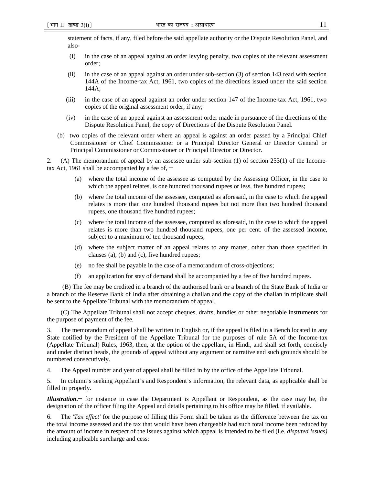statement of facts, if any, filed before the said appellate authority or the Dispute Resolution Panel, and also-

- (i) in the case of an appeal against an order levying penalty, two copies of the relevant assessment order;
- (ii) in the case of an appeal against an order under sub-section (3) of section 143 read with section 144A of the Income-tax Act, 1961, two copies of the directions issued under the said section 144A;
- (iii) in the case of an appeal against an order under section 147 of the Income-tax Act, 1961, two copies of the original assessment order, if any;
- (iv) in the case of an appeal against an assessment order made in pursuance of the directions of the Dispute Resolution Panel, the copy of Directions of the Dispute Resolution Panel.
- (b) two copies of the relevant order where an appeal is against an order passed by a Principal Chief Commissioner or Chief Commissioner or a Principal Director General or Director General or Principal Commissioner or Commissioner or Principal Director or Director.

2. (A) The memorandum of appeal by an assessee under sub-section (1) of section 253(1) of the Incometax Act, 1961 shall be accompanied by a fee of,  $-$ 

- (a) where the total income of the assessee as computed by the Assessing Officer, in the case to which the appeal relates, is one hundred thousand rupees or less, five hundred rupees;
- (b) where the total income of the assessee, computed as aforesaid, in the case to which the appeal relates is more than one hundred thousand rupees but not more than two hundred thousand rupees, one thousand five hundred rupees;
- (c) where the total income of the assessee, computed as aforesaid, in the case to which the appeal relates is more than two hundred thousand rupees, one per cent. of the assessed income, subject to a maximum of ten thousand rupees;
- (d) where the subject matter of an appeal relates to any matter, other than those specified in clauses (a), (b) and (c), five hundred rupees;
- (e) no fee shall be payable in the case of a memorandum of cross-objections;
- (f) an application for stay of demand shall be accompanied by a fee of five hundred rupees.

 (B) The fee may be credited in a branch of the authorised bank or a branch of the State Bank of India or a branch of the Reserve Bank of India after obtaining a challan and the copy of the challan in triplicate shall be sent to the Appellate Tribunal with the memorandum of appeal.

(C) The Appellate Tribunal shall not accept cheques, drafts, hundies or other negotiable instruments for the purpose of payment of the fee.

3. The memorandum of appeal shall be written in English or, if the appeal is filed in a Bench located in any State notified by the President of the Appellate Tribunal for the purposes of rule 5A of the Income-tax (Appellate Tribunal) Rules, 1963, then, at the option of the appellant, in Hindi, and shall set forth, concisely and under distinct heads, the grounds of appeal without any argument or narrative and such grounds should be numbered consecutively.

4. The Appeal number and year of appeal shall be filled in by the office of the Appellate Tribunal.

5. In column's seeking Appellant's and Respondent's information, the relevant data, as applicable shall be filled in properly.

*Illustration.***\_\_** for instance in case the Department is Appellant or Respondent, as the case may be, the designation of the officer filing the Appeal and details pertaining to his office may be filled, if available.

6. The *'Tax effect'* for the purpose of filling this Form shall be taken as the difference between the tax on the total income assessed and the tax that would have been chargeable had such total income been reduced by the amount of income in respect of the issues against which appeal is intended to be filed (i.e*. disputed issues)* including applicable surcharge and cess: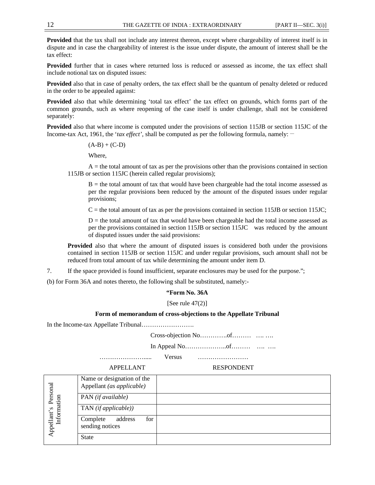**Provided** that the tax shall not include any interest thereon, except where chargeability of interest itself is in dispute and in case the chargeability of interest is the issue under dispute, the amount of interest shall be the tax effect:

**Provided** further that in cases where returned loss is reduced or assessed as income, the tax effect shall include notional tax on disputed issues:

**Provided** also that in case of penalty orders, the tax effect shall be the quantum of penalty deleted or reduced in the order to be appealed against:

**Provided** also that while determining 'total tax effect' the tax effect on grounds, which forms part of the common grounds, such as where reopening of the case itself is under challenge, shall not be considered separately:

**Provided** also that where income is computed under the provisions of section 115JB or section 115JC of the Income-tax Act, 1961, the '*tax effect*', shall be computed as per the following formula, namely:

 $(A-B) + (C-D)$ 

Where,

 $A =$  the total amount of tax as per the provisions other than the provisions contained in section 115JB or section 115JC (herein called regular provisions);

 $B =$  the total amount of tax that would have been chargeable had the total income assessed as per the regular provisions been reduced by the amount of the disputed issues under regular provisions;

 $C$  = the total amount of tax as per the provisions contained in section 115JB or section 115JC;

 $D =$  the total amount of tax that would have been chargeable had the total income assessed as per the provisions contained in section 115JB or section 115JC was reduced by the amount of disputed issues under the said provisions:

**Provided** also that where the amount of disputed issues is considered both under the provisions contained in section 115JB or section 115JC and under regular provisions, such amount shall not be reduced from total amount of tax while determining the amount under item D.

7. If the space provided is found insufficient, separate enclosures may be used for the purpose.";

(b) for Form 36A and notes thereto, the following shall be substituted, namely:-

### **"Form No. 36A**

[See rule  $47(2)$ ]

# **Form of memorandum of cross-objections to the Appellate Tribunal**

In the Income-tax Appellate Tribunal…………………….

Cross-objection No………….of……… …. ….

In Appeal No………………..of……… …. ….

…………………..... Versus ……………………

APPELLANT RESPONDENT

| Personal<br>Information<br>Appellant's | Name or designation of the<br>Appellant (as applicable) |  |
|----------------------------------------|---------------------------------------------------------|--|
|                                        | PAN (if available)                                      |  |
|                                        | $TAN$ (if applicable))                                  |  |
|                                        | for<br>address<br>Complete<br>sending notices           |  |
|                                        | <b>State</b>                                            |  |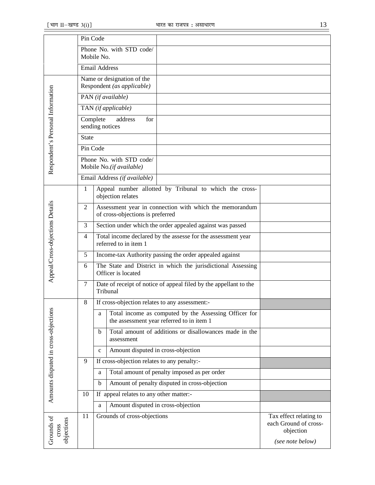|                                      | Pin Code                                                 |                                                                                                         |                                                              |
|--------------------------------------|----------------------------------------------------------|---------------------------------------------------------------------------------------------------------|--------------------------------------------------------------|
|                                      |                                                          | Phone No. with STD code/<br>Mobile No.                                                                  |                                                              |
|                                      |                                                          | <b>Email Address</b>                                                                                    |                                                              |
|                                      |                                                          |                                                                                                         |                                                              |
| Respondent's Personal Information    | Name or designation of the<br>Respondent (as applicable) |                                                                                                         |                                                              |
|                                      |                                                          | PAN (if available)                                                                                      |                                                              |
|                                      |                                                          | TAN (if applicable)                                                                                     |                                                              |
|                                      |                                                          | address<br>Complete<br>for<br>sending notices                                                           |                                                              |
|                                      | <b>State</b>                                             |                                                                                                         |                                                              |
|                                      | Pin Code                                                 |                                                                                                         |                                                              |
|                                      |                                                          | Phone No. with STD code/<br>Mobile No.(if available)                                                    |                                                              |
|                                      |                                                          | Email Address (if available)                                                                            |                                                              |
|                                      | $\mathbf{1}$                                             | Appeal number allotted by Tribunal to which the cross-<br>objection relates                             |                                                              |
|                                      | 2                                                        | Assessment year in connection with which the memorandum<br>of cross-objections is preferred             |                                                              |
|                                      | 3                                                        | Section under which the order appealed against was passed                                               |                                                              |
|                                      | 4                                                        | Total income declared by the assesse for the assessment year                                            |                                                              |
|                                      |                                                          | referred to in item 1                                                                                   |                                                              |
|                                      | 5                                                        | Income-tax Authority passing the order appealed against                                                 |                                                              |
| Appeal/Cross-objections Details      | 6                                                        | The State and District in which the jurisdictional Assessing<br>Officer is located                      |                                                              |
|                                      | 7                                                        | Date of receipt of notice of appeal filed by the appellant to the<br>Tribunal                           |                                                              |
|                                      | 8                                                        | If cross-objection relates to any assessment:-                                                          |                                                              |
|                                      |                                                          | Total income as computed by the Assessing Officer for<br>a<br>the assessment year referred to in item 1 |                                                              |
| Amounts disputed in cross-objections |                                                          | Total amount of additions or disallowances made in the<br>b<br>assessment                               |                                                              |
|                                      |                                                          | Amount disputed in cross-objection<br>$\mathbf c$                                                       |                                                              |
|                                      | 9                                                        | If cross-objection relates to any penalty:-                                                             |                                                              |
|                                      |                                                          | Total amount of penalty imposed as per order<br>a                                                       |                                                              |
|                                      |                                                          | Amount of penalty disputed in cross-objection<br>$\mathbf b$                                            |                                                              |
|                                      | 10                                                       | If appeal relates to any other matter:-                                                                 |                                                              |
|                                      |                                                          | Amount disputed in cross-objection<br>a                                                                 |                                                              |
| Grounds of<br>objections<br>cross    | 11                                                       | Grounds of cross-objections                                                                             | Tax effect relating to<br>each Ground of cross-<br>objection |
|                                      |                                                          |                                                                                                         | (see note below)                                             |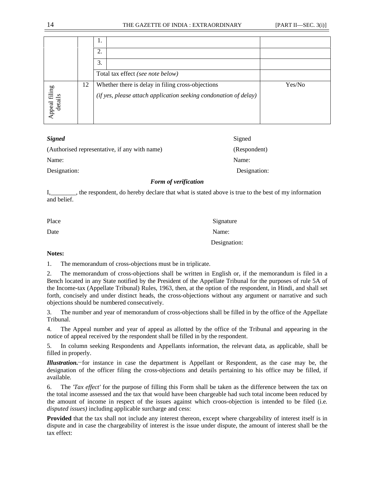|                          |    | 1.                                                               |        |
|--------------------------|----|------------------------------------------------------------------|--------|
|                          |    | 2.                                                               |        |
|                          |    | 3.                                                               |        |
|                          |    | Total tax effect (see note below)                                |        |
|                          | 12 | Whether there is delay in filing cross-objections                | Yes/No |
| Appeal filing<br>details |    | (if yes, please attach application seeking condonation of delay) |        |

| <b>Signed</b>                                 | Signed       |
|-----------------------------------------------|--------------|
| (Authorised representative, if any with name) | (Respondent) |
| Name:                                         | Name:        |
| Designation:                                  | Designation: |

## *Form of verification*

I,\_\_\_\_\_\_\_\_, the respondent, do hereby declare that what is stated above is true to the best of my information and belief.

| Place | Signature    |
|-------|--------------|
| Date  | Name:        |
|       | Designation: |

#### **Notes:**

1. The memorandum of cross-objections must be in triplicate.

2. The memorandum of cross-objections shall be written in English or, if the memorandum is filed in a Bench located in any State notified by the President of the Appellate Tribunal for the purposes of rule 5A of the Income-tax (Appellate Tribunal) Rules, 1963, then, at the option of the respondent, in Hindi, and shall set forth, concisely and under distinct heads, the cross-objections without any argument or narrative and such objections should be numbered consecutively.

3. The number and year of memorandum of cross-objections shall be filled in by the office of the Appellate Tribunal.

4. The Appeal number and year of appeal as allotted by the office of the Tribunal and appearing in the notice of appeal received by the respondent shall be filled in by the respondent.

5. In column seeking Respondents and Appellants information, the relevant data, as applicable, shall be filled in properly.

*Illustration.\_\_*for instance in case the department is Appellant or Respondent, as the case may be, the designation of the officer filing the cross-objections and details pertaining to his office may be filled, if available.

6. The *'Tax effect'* for the purpose of filling this Form shall be taken as the difference between the tax on the total income assessed and the tax that would have been chargeable had such total income been reduced by the amount of income in respect of the issues against which croos-objection is intended to be filed (i.e*. disputed issues)* including applicable surcharge and cess:

**Provided** that the tax shall not include any interest thereon, except where chargeability of interest itself is in dispute and in case the chargeability of interest is the issue under dispute, the amount of interest shall be the tax effect: